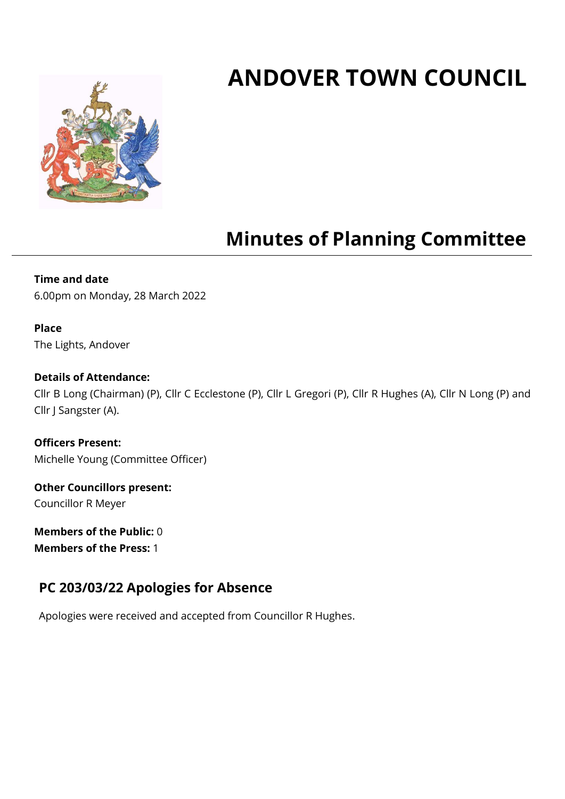# **ANDOVER TOWN COUNCIL**



## **Minutes of Planning Committee**

## **Time and date**

6.00pm on Monday, 28 March 2022

#### **Place**

The Lights, Andover

#### **Details of Attendance:**

Cllr B Long (Chairman) (P), Cllr C Ecclestone (P), Cllr L Gregori (P), Cllr R Hughes (A), Cllr N Long (P) and Cllr J Sangster (A).

**Officers Present:** Michelle Young (Committee Officer)

**Other Councillors present:** Councillor R Meyer

**Members of the Public:** 0 **Members of the Press:** 1

## **PC 203/03/22 Apologies for Absence**

Apologies were received and accepted from Councillor R Hughes.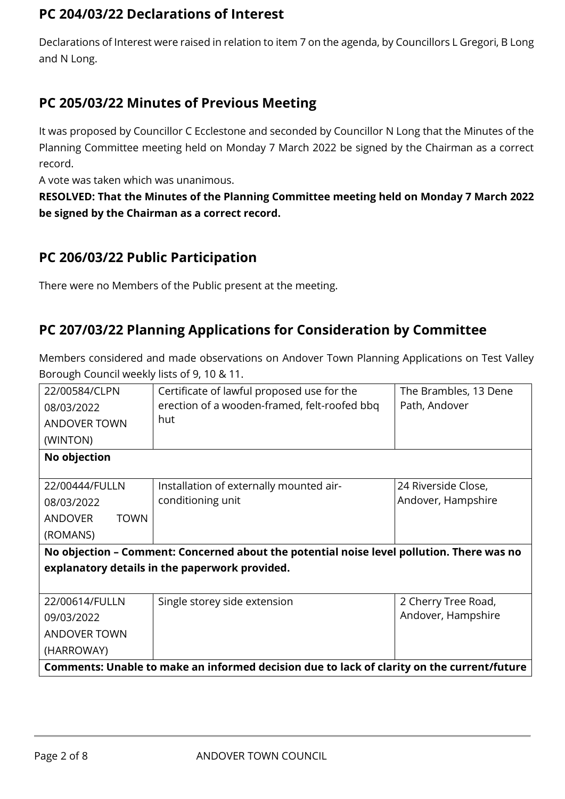## **PC 204/03/22 Declarations of Interest**

Declarations of Interest were raised in relation to item 7 on the agenda, by Councillors L Gregori, B Long and N Long.

## **PC 205/03/22 Minutes of Previous Meeting**

It was proposed by Councillor C Ecclestone and seconded by Councillor N Long that the Minutes of the Planning Committee meeting held on Monday 7 March 2022 be signed by the Chairman as a correct record.

A vote was taken which was unanimous.

**RESOLVED: That the Minutes of the Planning Committee meeting held on Monday 7 March 2022 be signed by the Chairman as a correct record.**

## **PC 206/03/22 Public Participation**

There were no Members of the Public present at the meeting.

## **PC 207/03/22 Planning Applications for Consideration by Committee**

Members considered and made observations on Andover Town Planning Applications on Test Valley Borough Council weekly lists of 9, 10 & 11.

| 22/00584/CLPN                 | Certificate of lawful proposed use for the                                                 | The Brambles, 13 Dene |
|-------------------------------|--------------------------------------------------------------------------------------------|-----------------------|
| 08/03/2022                    | erection of a wooden-framed, felt-roofed bbq                                               | Path, Andover         |
| <b>ANDOVER TOWN</b>           | hut                                                                                        |                       |
| (WINTON)                      |                                                                                            |                       |
| No objection                  |                                                                                            |                       |
|                               |                                                                                            |                       |
| 22/00444/FULLN                | Installation of externally mounted air-                                                    | 24 Riverside Close,   |
| 08/03/2022                    | conditioning unit                                                                          | Andover, Hampshire    |
| <b>ANDOVER</b><br><b>TOWN</b> |                                                                                            |                       |
| (ROMANS)                      |                                                                                            |                       |
|                               | No objection - Comment: Concerned about the potential noise level pollution. There was no  |                       |
|                               | explanatory details in the paperwork provided.                                             |                       |
|                               |                                                                                            |                       |
| 22/00614/FULLN                | Single storey side extension                                                               | 2 Cherry Tree Road,   |
| 09/03/2022                    |                                                                                            | Andover, Hampshire    |
| <b>ANDOVER TOWN</b>           |                                                                                            |                       |
| (HARROWAY)                    |                                                                                            |                       |
|                               | Comments: Unable to make an informed decision due to lack of clarity on the current/future |                       |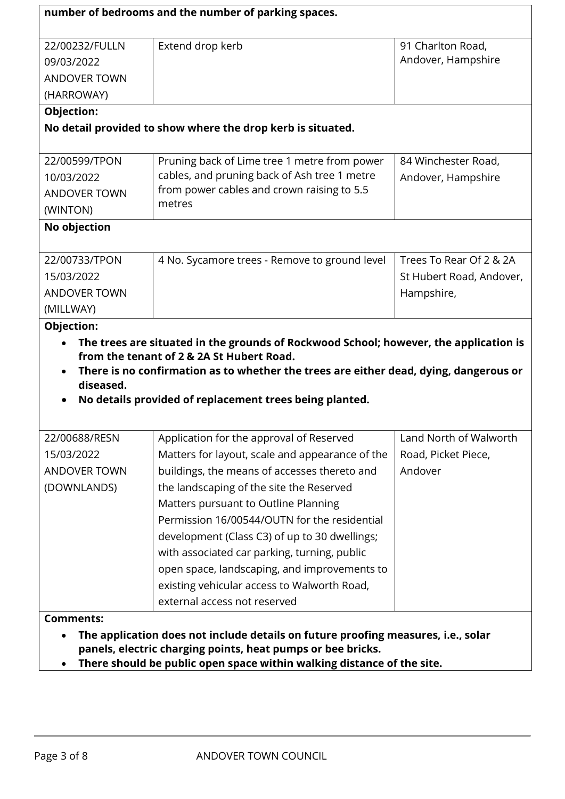|                     | number of bedrooms and the number of parking spaces.                                                                                                                                                                       |                          |
|---------------------|----------------------------------------------------------------------------------------------------------------------------------------------------------------------------------------------------------------------------|--------------------------|
| 22/00232/FULLN      | Extend drop kerb                                                                                                                                                                                                           | 91 Charlton Road,        |
| 09/03/2022          |                                                                                                                                                                                                                            | Andover, Hampshire       |
| <b>ANDOVER TOWN</b> |                                                                                                                                                                                                                            |                          |
| (HARROWAY)          |                                                                                                                                                                                                                            |                          |
| Objection:          |                                                                                                                                                                                                                            |                          |
|                     | No detail provided to show where the drop kerb is situated.                                                                                                                                                                |                          |
| 22/00599/TPON       | Pruning back of Lime tree 1 metre from power                                                                                                                                                                               | 84 Winchester Road,      |
| 10/03/2022          | cables, and pruning back of Ash tree 1 metre                                                                                                                                                                               | Andover, Hampshire       |
| <b>ANDOVER TOWN</b> | from power cables and crown raising to 5.5                                                                                                                                                                                 |                          |
| (WINTON)            | metres                                                                                                                                                                                                                     |                          |
| No objection        |                                                                                                                                                                                                                            |                          |
| 22/00733/TPON       | 4 No. Sycamore trees - Remove to ground level                                                                                                                                                                              | Trees To Rear Of 2 & 2A  |
| 15/03/2022          |                                                                                                                                                                                                                            | St Hubert Road, Andover, |
| <b>ANDOVER TOWN</b> |                                                                                                                                                                                                                            | Hampshire,               |
| (MILLWAY)           |                                                                                                                                                                                                                            |                          |
| diseased.           | from the tenant of 2 & 2A St Hubert Road.<br>There is no confirmation as to whether the trees are either dead, dying, dangerous or<br>No details provided of replacement trees being planted.                              |                          |
| 22/00688/RESN       | Application for the approval of Reserved                                                                                                                                                                                   | Land North of Walworth   |
| 15/03/2022          | Matters for layout, scale and appearance of the                                                                                                                                                                            | Road, Picket Piece,      |
| <b>ANDOVER TOWN</b> | buildings, the means of accesses thereto and                                                                                                                                                                               | Andover                  |
| (DOWNLANDS)         | the landscaping of the site the Reserved                                                                                                                                                                                   |                          |
|                     | Matters pursuant to Outline Planning                                                                                                                                                                                       |                          |
|                     | Permission 16/00544/OUTN for the residential                                                                                                                                                                               |                          |
|                     | development (Class C3) of up to 30 dwellings;                                                                                                                                                                              |                          |
|                     | with associated car parking, turning, public                                                                                                                                                                               |                          |
|                     | open space, landscaping, and improvements to                                                                                                                                                                               |                          |
|                     | existing vehicular access to Walworth Road,                                                                                                                                                                                |                          |
|                     | external access not reserved                                                                                                                                                                                               |                          |
| <b>Comments:</b>    |                                                                                                                                                                                                                            |                          |
|                     | The application does not include details on future proofing measures, i.e., solar<br>panels, electric charging points, heat pumps or bee bricks.<br>There should be public open space within walking distance of the site. |                          |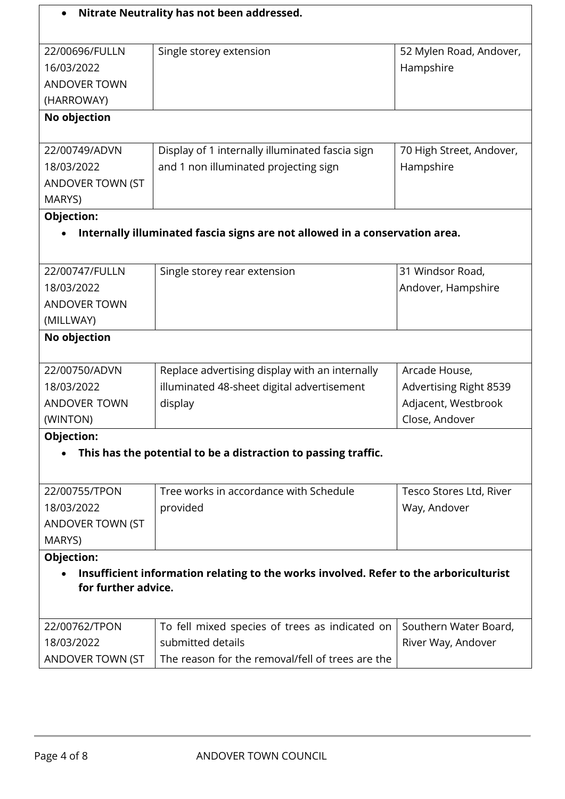|                     | Nitrate Neutrality has not been addressed.                                            |                               |
|---------------------|---------------------------------------------------------------------------------------|-------------------------------|
|                     |                                                                                       |                               |
| 22/00696/FULLN      | Single storey extension                                                               | 52 Mylen Road, Andover,       |
| 16/03/2022          |                                                                                       | Hampshire                     |
| <b>ANDOVER TOWN</b> |                                                                                       |                               |
| (HARROWAY)          |                                                                                       |                               |
| No objection        |                                                                                       |                               |
| 22/00749/ADVN       | Display of 1 internally illuminated fascia sign                                       | 70 High Street, Andover,      |
| 18/03/2022          | and 1 non illuminated projecting sign                                                 | Hampshire                     |
| ANDOVER TOWN (ST    |                                                                                       |                               |
| MARYS)              |                                                                                       |                               |
| <b>Objection:</b>   |                                                                                       |                               |
|                     | Internally illuminated fascia signs are not allowed in a conservation area.           |                               |
|                     |                                                                                       |                               |
|                     |                                                                                       |                               |
| 22/00747/FULLN      | Single storey rear extension                                                          | 31 Windsor Road,              |
| 18/03/2022          |                                                                                       | Andover, Hampshire            |
| <b>ANDOVER TOWN</b> |                                                                                       |                               |
| (MILLWAY)           |                                                                                       |                               |
| No objection        |                                                                                       |                               |
| 22/00750/ADVN       | Replace advertising display with an internally                                        | Arcade House,                 |
| 18/03/2022          | illuminated 48-sheet digital advertisement                                            | <b>Advertising Right 8539</b> |
| <b>ANDOVER TOWN</b> | display                                                                               | Adjacent, Westbrook           |
| (WINTON)            |                                                                                       | Close, Andover                |
| <b>Objection:</b>   |                                                                                       |                               |
|                     | This has the potential to be a distraction to passing traffic.                        |                               |
|                     |                                                                                       |                               |
| 22/00755/TPON       | Tree works in accordance with Schedule                                                | Tesco Stores Ltd, River       |
| 18/03/2022          | provided                                                                              | Way, Andover                  |
| ANDOVER TOWN (ST    |                                                                                       |                               |
| MARYS)              |                                                                                       |                               |
| Objection:          |                                                                                       |                               |
|                     | Insufficient information relating to the works involved. Refer to the arboriculturist |                               |
| for further advice. |                                                                                       |                               |
| 22/00762/TPON       | To fell mixed species of trees as indicated on                                        | Southern Water Board,         |
| 18/03/2022          | submitted details                                                                     | River Way, Andover            |
| ANDOVER TOWN (ST    | The reason for the removal/fell of trees are the                                      |                               |
|                     |                                                                                       |                               |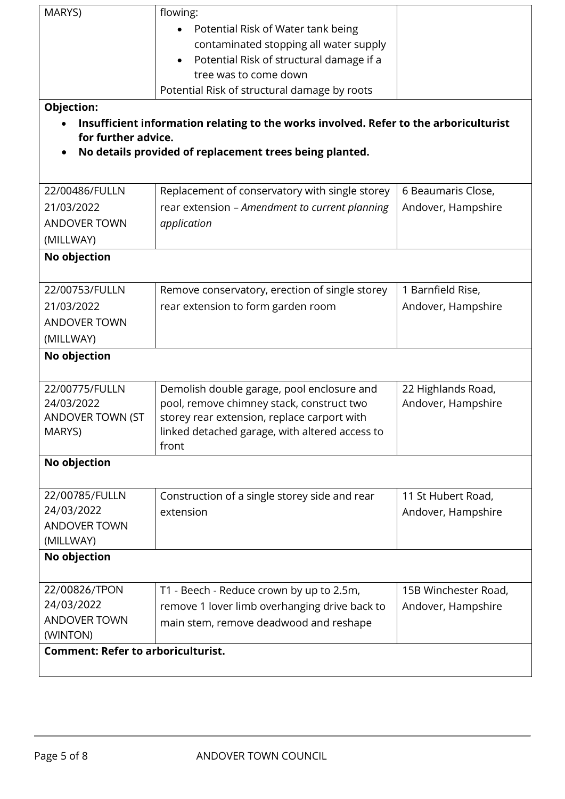| MARYS)                                    | flowing:                                                                              |                      |
|-------------------------------------------|---------------------------------------------------------------------------------------|----------------------|
|                                           | Potential Risk of Water tank being                                                    |                      |
|                                           | contaminated stopping all water supply                                                |                      |
|                                           | Potential Risk of structural damage if a<br>$\bullet$                                 |                      |
|                                           | tree was to come down                                                                 |                      |
|                                           | Potential Risk of structural damage by roots                                          |                      |
| Objection:                                |                                                                                       |                      |
|                                           | Insufficient information relating to the works involved. Refer to the arboriculturist |                      |
| for further advice.                       |                                                                                       |                      |
|                                           | No details provided of replacement trees being planted.                               |                      |
|                                           |                                                                                       |                      |
| 22/00486/FULLN                            | Replacement of conservatory with single storey                                        | 6 Beaumaris Close,   |
| 21/03/2022                                | rear extension - Amendment to current planning                                        | Andover, Hampshire   |
| <b>ANDOVER TOWN</b>                       | application                                                                           |                      |
| (MILLWAY)                                 |                                                                                       |                      |
| No objection                              |                                                                                       |                      |
|                                           |                                                                                       |                      |
| 22/00753/FULLN                            | Remove conservatory, erection of single storey                                        | 1 Barnfield Rise,    |
| 21/03/2022                                | rear extension to form garden room                                                    | Andover, Hampshire   |
| <b>ANDOVER TOWN</b>                       |                                                                                       |                      |
| (MILLWAY)                                 |                                                                                       |                      |
| No objection                              |                                                                                       |                      |
|                                           |                                                                                       |                      |
| 22/00775/FULLN                            | Demolish double garage, pool enclosure and                                            | 22 Highlands Road,   |
| 24/03/2022                                | pool, remove chimney stack, construct two                                             | Andover, Hampshire   |
| ANDOVER TOWN (ST                          | storey rear extension, replace carport with                                           |                      |
| MARYS)                                    | linked detached garage, with altered access to                                        |                      |
|                                           | front                                                                                 |                      |
| No objection                              |                                                                                       |                      |
|                                           |                                                                                       |                      |
| 22/00785/FULLN                            | Construction of a single storey side and rear                                         | 11 St Hubert Road,   |
| 24/03/2022                                | extension                                                                             | Andover, Hampshire   |
| <b>ANDOVER TOWN</b>                       |                                                                                       |                      |
| (MILLWAY)                                 |                                                                                       |                      |
| No objection                              |                                                                                       |                      |
|                                           |                                                                                       |                      |
| 22/00826/TPON<br>24/03/2022               | T1 - Beech - Reduce crown by up to 2.5m,                                              | 15B Winchester Road, |
| <b>ANDOVER TOWN</b>                       | remove 1 lover limb overhanging drive back to                                         | Andover, Hampshire   |
| (WINTON)                                  | main stem, remove deadwood and reshape                                                |                      |
| <b>Comment: Refer to arboriculturist.</b> |                                                                                       |                      |
|                                           |                                                                                       |                      |
|                                           |                                                                                       |                      |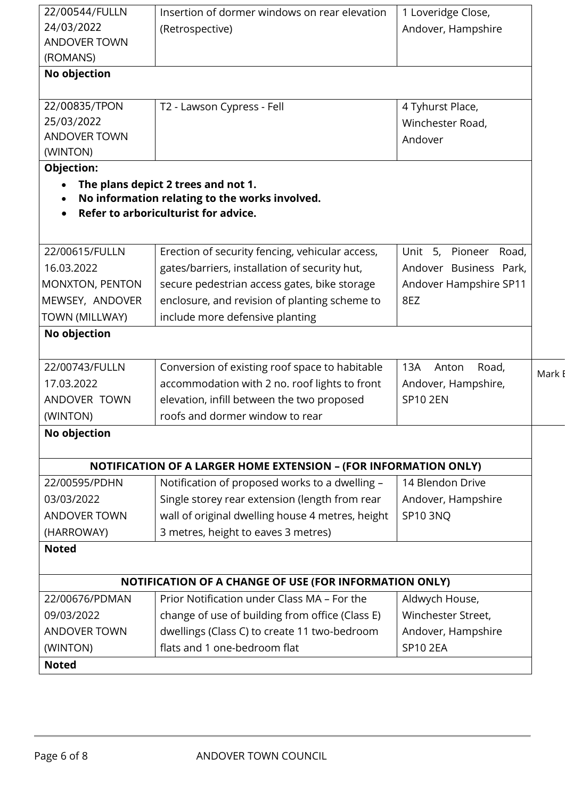| 22/00544/FULLN      | Insertion of dormer windows on rear elevation                           | 1 Loveridge Close,     |               |
|---------------------|-------------------------------------------------------------------------|------------------------|---------------|
| 24/03/2022          | (Retrospective)                                                         | Andover, Hampshire     |               |
| <b>ANDOVER TOWN</b> |                                                                         |                        |               |
| (ROMANS)            |                                                                         |                        |               |
| No objection        |                                                                         |                        |               |
| 22/00835/TPON       | T2 - Lawson Cypress - Fell                                              | 4 Tyhurst Place,       |               |
| 25/03/2022          |                                                                         | Winchester Road,       |               |
| <b>ANDOVER TOWN</b> |                                                                         | Andover                |               |
| (WINTON)            |                                                                         |                        |               |
| Objection:          |                                                                         |                        |               |
| $\bullet$           | The plans depict 2 trees and not 1.                                     |                        |               |
| $\bullet$           | No information relating to the works involved.                          |                        |               |
|                     | Refer to arboriculturist for advice.                                    |                        |               |
|                     |                                                                         |                        |               |
| 22/00615/FULLN      | Erection of security fencing, vehicular access,                         | Unit 5, Pioneer Road,  |               |
| 16.03.2022          | gates/barriers, installation of security hut,                           | Andover Business Park, |               |
| MONXTON, PENTON     | secure pedestrian access gates, bike storage                            | Andover Hampshire SP11 |               |
| MEWSEY, ANDOVER     | enclosure, and revision of planting scheme to                           | 8EZ                    |               |
| TOWN (MILLWAY)      | include more defensive planting                                         |                        |               |
| No objection        |                                                                         |                        |               |
| 22/00743/FULLN      | Conversion of existing roof space to habitable                          | 13A<br>Road,<br>Anton  | Mark <b>F</b> |
| 17.03.2022          | accommodation with 2 no. roof lights to front                           | Andover, Hampshire,    |               |
| ANDOVER TOWN        | elevation, infill between the two proposed                              | <b>SP10 2EN</b>        |               |
| (WINTON)            | roofs and dormer window to rear                                         |                        |               |
| No objection        |                                                                         |                        |               |
|                     | <b>NOTIFICATION OF A LARGER HOME EXTENSION - (FOR INFORMATION ONLY)</b> |                        |               |
| 22/00595/PDHN       | Notification of proposed works to a dwelling -                          | 14 Blendon Drive       |               |
| 03/03/2022          | Single storey rear extension (length from rear                          | Andover, Hampshire     |               |
| <b>ANDOVER TOWN</b> | wall of original dwelling house 4 metres, height                        | SP10 3NQ               |               |
| (HARROWAY)          | 3 metres, height to eaves 3 metres)                                     |                        |               |
| <b>Noted</b>        |                                                                         |                        |               |
|                     | NOTIFICATION OF A CHANGE OF USE (FOR INFORMATION ONLY)                  |                        |               |
| 22/00676/PDMAN      | Prior Notification under Class MA - For the                             | Aldwych House,         |               |
| 09/03/2022          | change of use of building from office (Class E)                         | Winchester Street,     |               |
| <b>ANDOVER TOWN</b> | dwellings (Class C) to create 11 two-bedroom                            | Andover, Hampshire     |               |
|                     | flats and 1 one-bedroom flat                                            | <b>SP10 2EA</b>        |               |
| (WINTON)            |                                                                         |                        |               |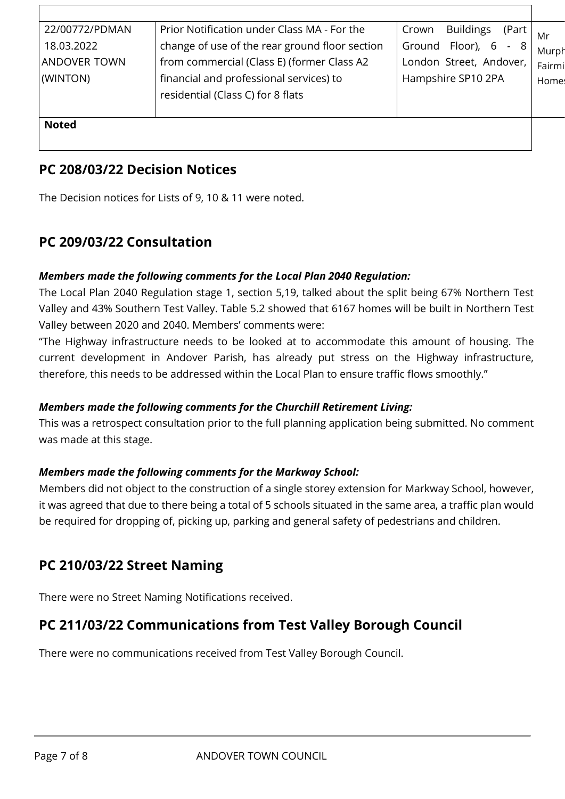| 22/00772/PDMAN      | Prior Notification under Class MA - For the    | <b>Buildings</b><br>(Part<br>Crown | Mr     |
|---------------------|------------------------------------------------|------------------------------------|--------|
| 18.03.2022          | change of use of the rear ground floor section | Floor),<br>Ground<br>6<br>8        | Murph  |
| <b>ANDOVER TOWN</b> | from commercial (Class E) (former Class A2     | London Street, Andover,            | Fairmi |
| (WINTON)            | financial and professional services) to        | Hampshire SP10 2PA                 | Home:  |
|                     | residential (Class C) for 8 flats              |                                    |        |
|                     |                                                |                                    |        |
| <b>Noted</b>        |                                                |                                    |        |
|                     |                                                |                                    |        |

## **PC 208/03/22 Decision Notices**

The Decision notices for Lists of 9, 10 & 11 were noted.

## **PC 209/03/22 Consultation**

#### *Members made the following comments for the Local Plan 2040 Regulation:*

The Local Plan 2040 Regulation stage 1, section 5,19, talked about the split being 67% Northern Test Valley and 43% Southern Test Valley. Table 5.2 showed that 6167 homes will be built in Northern Test Valley between 2020 and 2040. Members' comments were:

"The Highway infrastructure needs to be looked at to accommodate this amount of housing. The current development in Andover Parish, has already put stress on the Highway infrastructure, therefore, this needs to be addressed within the Local Plan to ensure traffic flows smoothly."

#### *Members made the following comments for the Churchill Retirement Living:*

This was a retrospect consultation prior to the full planning application being submitted. No comment was made at this stage.

#### *Members made the following comments for the Markway School:*

Members did not object to the construction of a single storey extension for Markway School, however, it was agreed that due to there being a total of 5 schools situated in the same area, a traffic plan would be required for dropping of, picking up, parking and general safety of pedestrians and children.

## **PC 210/03/22 Street Naming**

There were no Street Naming Notifications received.

## **PC 211/03/22 Communications from Test Valley Borough Council**

There were no communications received from Test Valley Borough Council.